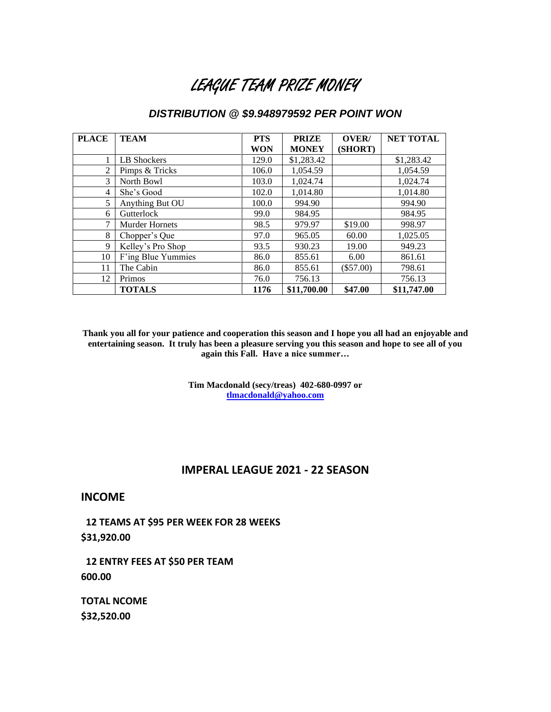# LEAGUE TEAM PRIZE MONEY

# *DISTRIBUTION @ \$9.948979592 PER POINT WON*

| <b>PLACE</b> | <b>TEAM</b>           | <b>PTS</b> | <b>PRIZE</b> | OVER/       | <b>NET TOTAL</b> |
|--------------|-----------------------|------------|--------------|-------------|------------------|
|              |                       | <b>WON</b> | <b>MONEY</b> | (SHORT)     |                  |
|              | LB Shockers           | 129.0      | \$1,283.42   |             | \$1,283.42       |
| 2            | Pimps & Tricks        | 106.0      | 1,054.59     |             | 1,054.59         |
| 3            | North Bowl            | 103.0      | 1,024.74     |             | 1,024.74         |
| 4            | She's Good            | 102.0      | 1,014.80     |             | 1,014.80         |
| 5            | Anything But OU       | 100.0      | 994.90       |             | 994.90           |
| 6            | Gutterlock            | 99.0       | 984.95       |             | 984.95           |
| 7            | <b>Murder Hornets</b> | 98.5       | 979.97       | \$19.00     | 998.97           |
| 8            | Chopper's Que         | 97.0       | 965.05       | 60.00       | 1,025.05         |
| 9            | Kelley's Pro Shop     | 93.5       | 930.23       | 19.00       | 949.23           |
| 10           | F'ing Blue Yummies    | 86.0       | 855.61       | 6.00        | 861.61           |
| 11           | The Cabin             | 86.0       | 855.61       | $(\$57.00)$ | 798.61           |
| 12           | Primos                | 76.0       | 756.13       |             | 756.13           |
|              | <b>TOTALS</b>         | 1176       | \$11,700.00  | \$47.00     | \$11,747.00      |

**Thank you all for your patience and cooperation this season and I hope you all had an enjoyable and entertaining season. It truly has been a pleasure serving you this season and hope to see all of you again this Fall. Have a nice summer…**

> **Tim Macdonald (secy/treas) 402-680-0997 or [tlmacdonald@yahoo.com](mailto:tlmacdonald@yahoo.com)**

### **IMPERAL LEAGUE 2021 - 22 SEASON**

## **INCOME**

**12 TEAMS AT \$95 PER WEEK FOR 28 WEEKS \$31,920.00**

 **12 ENTRY FEES AT \$50 PER TEAM 600.00**

**TOTAL NCOME \$32,520.00**